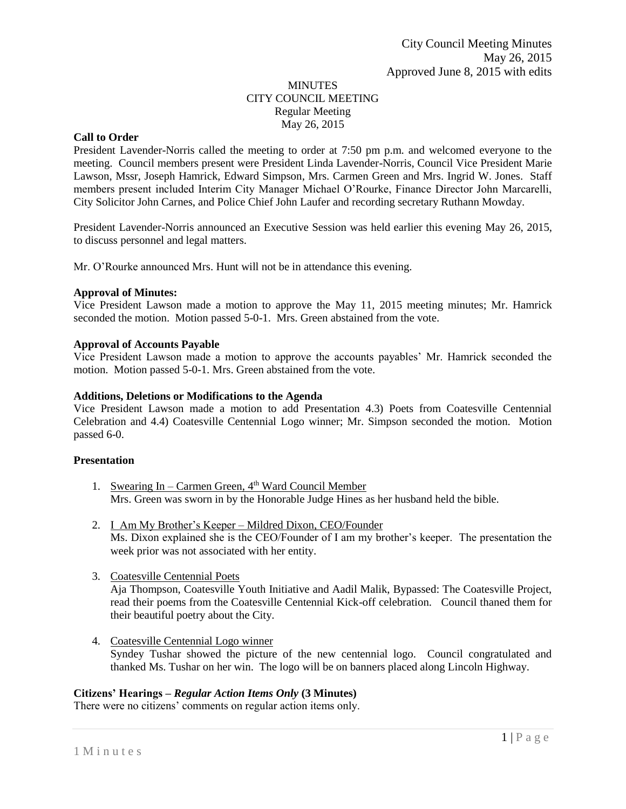## MINUTES CITY COUNCIL MEETING Regular Meeting May 26, 2015

# **Call to Order**

President Lavender-Norris called the meeting to order at 7:50 pm p.m. and welcomed everyone to the meeting. Council members present were President Linda Lavender-Norris, Council Vice President Marie Lawson, Mssr, Joseph Hamrick, Edward Simpson, Mrs. Carmen Green and Mrs. Ingrid W. Jones. Staff members present included Interim City Manager Michael O'Rourke, Finance Director John Marcarelli, City Solicitor John Carnes, and Police Chief John Laufer and recording secretary Ruthann Mowday.

President Lavender-Norris announced an Executive Session was held earlier this evening May 26, 2015, to discuss personnel and legal matters.

Mr. O'Rourke announced Mrs. Hunt will not be in attendance this evening.

## **Approval of Minutes:**

Vice President Lawson made a motion to approve the May 11, 2015 meeting minutes; Mr. Hamrick seconded the motion. Motion passed 5-0-1. Mrs. Green abstained from the vote.

## **Approval of Accounts Payable**

Vice President Lawson made a motion to approve the accounts payables' Mr. Hamrick seconded the motion. Motion passed 5-0-1. Mrs. Green abstained from the vote.

## **Additions, Deletions or Modifications to the Agenda**

Vice President Lawson made a motion to add Presentation 4.3) Poets from Coatesville Centennial Celebration and 4.4) Coatesville Centennial Logo winner; Mr. Simpson seconded the motion. Motion passed 6-0.

# **Presentation**

- 1. Swearing In Carmen Green,  $4<sup>th</sup>$  Ward Council Member Mrs. Green was sworn in by the Honorable Judge Hines as her husband held the bible.
- 2. I Am My Brother's Keeper Mildred Dixon, CEO/Founder Ms. Dixon explained she is the CEO/Founder of I am my brother's keeper. The presentation the week prior was not associated with her entity.
- 3. Coatesville Centennial Poets

Aja Thompson, Coatesville Youth Initiative and Aadil Malik, Bypassed: The Coatesville Project, read their poems from the Coatesville Centennial Kick-off celebration. Council thaned them for their beautiful poetry about the City.

4. Coatesville Centennial Logo winner Syndey Tushar showed the picture of the new centennial logo. Council congratulated and thanked Ms. Tushar on her win. The logo will be on banners placed along Lincoln Highway.

## **Citizens' Hearings –** *Regular Action Items Only* **(3 Minutes)**

There were no citizens' comments on regular action items only.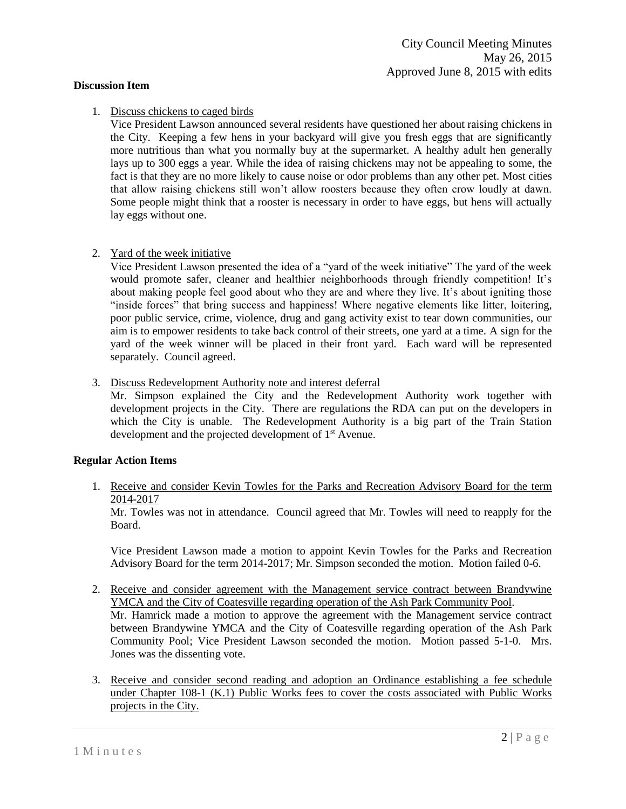## **Discussion Item**

# 1. Discuss chickens to caged birds

Vice President Lawson announced several residents have questioned her about raising chickens in the City. Keeping a few hens in your backyard will give you fresh eggs that are significantly more nutritious than what you normally buy at the supermarket. A healthy adult hen generally lays up to 300 eggs a year. While the idea of raising chickens may not be appealing to some, the fact is that they are no more likely to cause noise or odor problems than any other pet. Most cities that allow raising chickens still won't allow roosters because they often crow loudly at dawn. Some people might think that a rooster is necessary in order to have eggs, but hens will actually lay eggs without one.

2. Yard of the week initiative

Vice President Lawson presented the idea of a "yard of the week initiative" The yard of the week would promote safer, cleaner and healthier neighborhoods through friendly competition! It's about making people feel good about who they are and where they live. It's about igniting those "inside forces" that bring success and happiness! Where negative elements like litter, loitering, poor public service, crime, violence, drug and gang activity exist to tear down communities, our aim is to empower residents to take back control of their streets, one yard at a time. A sign for the yard of the week winner will be placed in their front yard. Each ward will be represented separately. Council agreed.

3. Discuss Redevelopment Authority note and interest deferral

Mr. Simpson explained the City and the Redevelopment Authority work together with development projects in the City. There are regulations the RDA can put on the developers in which the City is unable. The Redevelopment Authority is a big part of the Train Station development and the projected development of 1<sup>st</sup> Avenue.

## **Regular Action Items**

1. Receive and consider Kevin Towles for the Parks and Recreation Advisory Board for the term 2014-2017

Mr. Towles was not in attendance. Council agreed that Mr. Towles will need to reapply for the Board.

Vice President Lawson made a motion to appoint Kevin Towles for the Parks and Recreation Advisory Board for the term 2014-2017; Mr. Simpson seconded the motion. Motion failed 0-6.

- 2. Receive and consider agreement with the Management service contract between Brandywine YMCA and the City of Coatesville regarding operation of the Ash Park Community Pool. Mr. Hamrick made a motion to approve the agreement with the Management service contract between Brandywine YMCA and the City of Coatesville regarding operation of the Ash Park Community Pool; Vice President Lawson seconded the motion. Motion passed 5-1-0. Mrs. Jones was the dissenting vote.
- 3. Receive and consider second reading and adoption an Ordinance establishing a fee schedule under Chapter 108-1 (K.1) Public Works fees to cover the costs associated with Public Works projects in the City.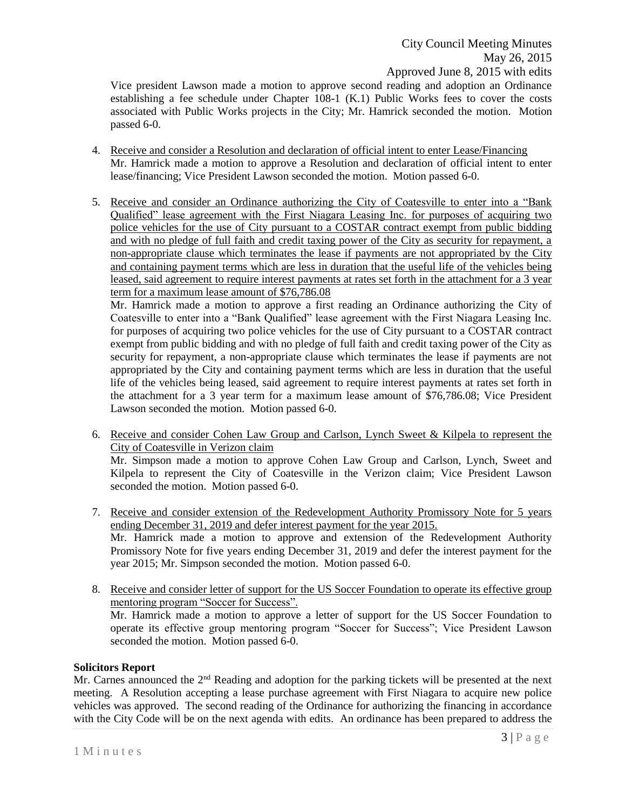Vice president Lawson made a motion to approve second reading and adoption an Ordinance establishing a fee schedule under Chapter 108-1 (K.1) Public Works fees to cover the costs associated with Public Works projects in the City; Mr. Hamrick seconded the motion. Motion passed 6-0.

- 4. Receive and consider a Resolution and declaration of official intent to enter Lease/Financing Mr. Hamrick made a motion to approve a Resolution and declaration of official intent to enter lease/financing; Vice President Lawson seconded the motion. Motion passed 6-0.
- 5. Receive and consider an Ordinance authorizing the City of Coatesville to enter into a "Bank Qualified" lease agreement with the First Niagara Leasing Inc. for purposes of acquiring two police vehicles for the use of City pursuant to a COSTAR contract exempt from public bidding and with no pledge of full faith and credit taxing power of the City as security for repayment, a non-appropriate clause which terminates the lease if payments are not appropriated by the City and containing payment terms which are less in duration that the useful life of the vehicles being leased, said agreement to require interest payments at rates set forth in the attachment for a 3 year term for a maximum lease amount of \$76,786.08

Mr. Hamrick made a motion to approve a first reading an Ordinance authorizing the City of Coatesville to enter into a "Bank Qualified" lease agreement with the First Niagara Leasing Inc. for purposes of acquiring two police vehicles for the use of City pursuant to a COSTAR contract exempt from public bidding and with no pledge of full faith and credit taxing power of the City as security for repayment, a non-appropriate clause which terminates the lease if payments are not appropriated by the City and containing payment terms which are less in duration that the useful life of the vehicles being leased, said agreement to require interest payments at rates set forth in the attachment for a 3 year term for a maximum lease amount of \$76,786.08; Vice President Lawson seconded the motion. Motion passed 6-0.

- 6. Receive and consider Cohen Law Group and Carlson, Lynch Sweet & Kilpela to represent the City of Coatesville in Verizon claim Mr. Simpson made a motion to approve Cohen Law Group and Carlson, Lynch, Sweet and Kilpela to represent the City of Coatesville in the Verizon claim; Vice President Lawson seconded the motion. Motion passed 6-0.
- 7. Receive and consider extension of the Redevelopment Authority Promissory Note for 5 years ending December 31, 2019 and defer interest payment for the year 2015. Mr. Hamrick made a motion to approve and extension of the Redevelopment Authority Promissory Note for five years ending December 31, 2019 and defer the interest payment for the year 2015; Mr. Simpson seconded the motion. Motion passed 6-0.
- 8. Receive and consider letter of support for the US Soccer Foundation to operate its effective group mentoring program "Soccer for Success". Mr. Hamrick made a motion to approve a letter of support for the US Soccer Foundation to operate its effective group mentoring program "Soccer for Success"; Vice President Lawson seconded the motion. Motion passed 6-0.

## **Solicitors Report**

Mr. Carnes announced the 2<sup>nd</sup> Reading and adoption for the parking tickets will be presented at the next meeting. A Resolution accepting a lease purchase agreement with First Niagara to acquire new police vehicles was approved. The second reading of the Ordinance for authorizing the financing in accordance with the City Code will be on the next agenda with edits. An ordinance has been prepared to address the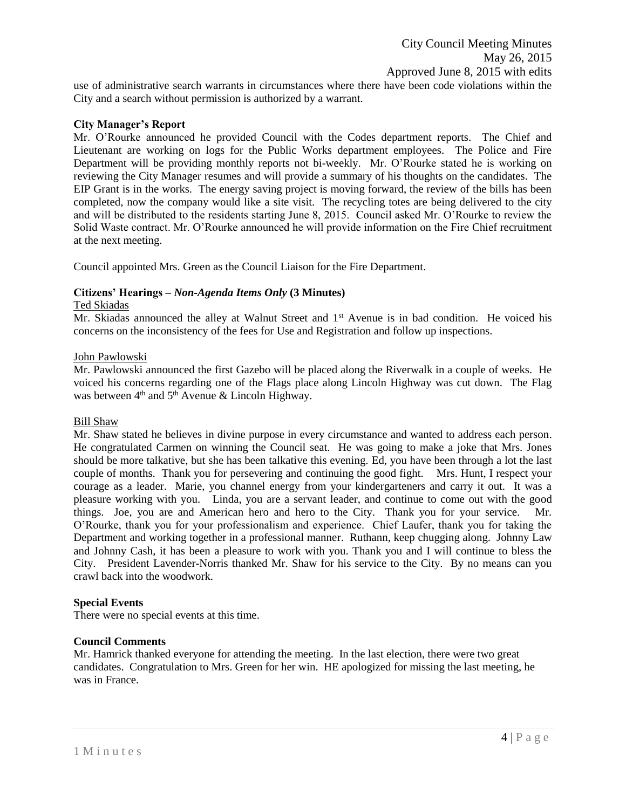use of administrative search warrants in circumstances where there have been code violations within the City and a search without permission is authorized by a warrant.

## **City Manager's Report**

Mr. O'Rourke announced he provided Council with the Codes department reports. The Chief and Lieutenant are working on logs for the Public Works department employees. The Police and Fire Department will be providing monthly reports not bi-weekly. Mr. O'Rourke stated he is working on reviewing the City Manager resumes and will provide a summary of his thoughts on the candidates. The EIP Grant is in the works. The energy saving project is moving forward, the review of the bills has been completed, now the company would like a site visit. The recycling totes are being delivered to the city and will be distributed to the residents starting June 8, 2015. Council asked Mr. O'Rourke to review the Solid Waste contract. Mr. O'Rourke announced he will provide information on the Fire Chief recruitment at the next meeting.

Council appointed Mrs. Green as the Council Liaison for the Fire Department.

## **Citizens' Hearings –** *Non-Agenda Items Only* **(3 Minutes)**

#### Ted Skiadas

Mr. Skiadas announced the alley at Walnut Street and  $1<sup>st</sup>$  Avenue is in bad condition. He voiced his concerns on the inconsistency of the fees for Use and Registration and follow up inspections.

## John Pawlowski

Mr. Pawlowski announced the first Gazebo will be placed along the Riverwalk in a couple of weeks. He voiced his concerns regarding one of the Flags place along Lincoln Highway was cut down. The Flag was between  $4<sup>th</sup>$  and  $5<sup>th</sup>$  Avenue & Lincoln Highway.

#### Bill Shaw

Mr. Shaw stated he believes in divine purpose in every circumstance and wanted to address each person. He congratulated Carmen on winning the Council seat. He was going to make a joke that Mrs. Jones should be more talkative, but she has been talkative this evening. Ed, you have been through a lot the last couple of months. Thank you for persevering and continuing the good fight. Mrs. Hunt, I respect your courage as a leader. Marie, you channel energy from your kindergarteners and carry it out. It was a pleasure working with you. Linda, you are a servant leader, and continue to come out with the good things. Joe, you are and American hero and hero to the City. Thank you for your service. Mr. O'Rourke, thank you for your professionalism and experience. Chief Laufer, thank you for taking the Department and working together in a professional manner. Ruthann, keep chugging along. Johnny Law and Johnny Cash, it has been a pleasure to work with you. Thank you and I will continue to bless the City. President Lavender-Norris thanked Mr. Shaw for his service to the City. By no means can you crawl back into the woodwork.

#### **Special Events**

There were no special events at this time.

#### **Council Comments**

Mr. Hamrick thanked everyone for attending the meeting. In the last election, there were two great candidates. Congratulation to Mrs. Green for her win. HE apologized for missing the last meeting, he was in France.